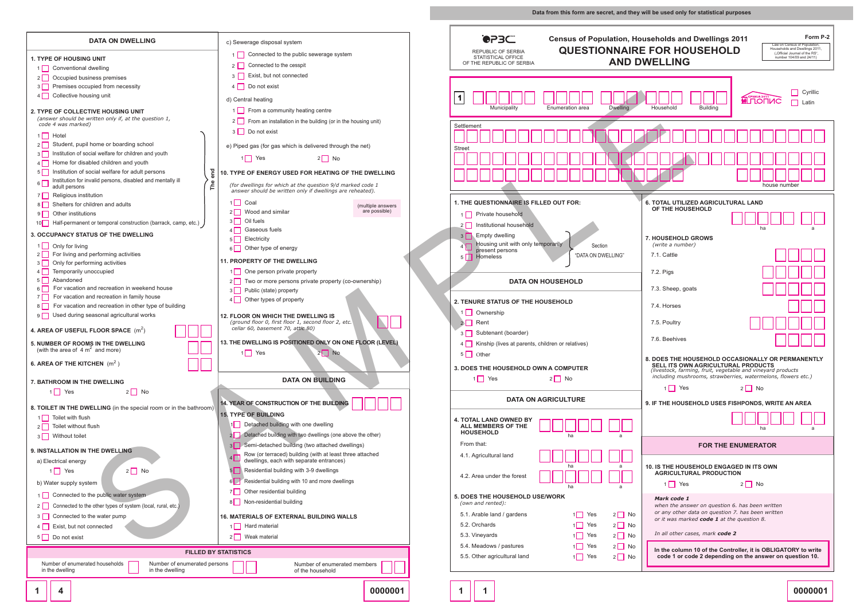|                                                  | c) Sewerage disposal system<br>1 Connected to the public sewerage system<br>2 Connected to the cesspit                                                                                                                                              | <b>OPBC</b><br><b>REPUBLIC OF SERBIA</b><br>STATISTICAL OFFICE<br>OF THE REPUBLIC OF SERBIA                                                                    | Form P-2<br><b>Census of Population, Households and Dwellings 2011</b><br>Law on Census of Population.<br><b>QUESTIONNAIRE FOR HOUSEHOLD</b><br>Households and Dwellings 2011<br>("Official Journal of the RS",<br>number 104/09 and 24/11)<br><b>AND DWELLING</b> |  |  |
|--------------------------------------------------|-----------------------------------------------------------------------------------------------------------------------------------------------------------------------------------------------------------------------------------------------------|----------------------------------------------------------------------------------------------------------------------------------------------------------------|--------------------------------------------------------------------------------------------------------------------------------------------------------------------------------------------------------------------------------------------------------------------|--|--|
|                                                  | 3 Exist, but not connected<br>4 Do not exist<br>d) Central heating<br>1 From a community heating centre                                                                                                                                             | Municipality<br>Enumeration area<br><b>Dwelling</b>                                                                                                            | $\Box$ Cyrillic<br><b>MULLOLING</b><br>$\Box$ Latin<br>Household<br><b>Building</b>                                                                                                                                                                                |  |  |
| end                                              | 2 From an installation in the building (or in the housing unit)<br>3 Do not exist<br>e) Piped gas (for gas which is delivered through the net)<br>$2 \Box$ No<br>$1$ Yes<br><b>10. TYPE OF ENERGY USED FOR HEATING OF THE DWELLING</b>              | Settlement<br><b>Street</b>                                                                                                                                    |                                                                                                                                                                                                                                                                    |  |  |
| The<br>ן (p, etc.                                | (for dwellings for which at the question 9/d marked code 1<br>answer should be written only if dwellings are reheated).<br>$1$ Coal<br>(multiple answers<br>are possible)<br>2 Wood and similar<br>Oil fuels<br>$3\Box$<br>$4\Box$<br>Gaseous fuels | 1. THE QUESTIONNAIRE IS FILLED OUT FOR:<br>1 Private household<br>2 Institutional household<br>3 Empty dwelling                                                | house number<br>6. TOTAL UTILIZED AGRICULTURAL LAND<br>OF THE HOUSEHOLD<br>ha                                                                                                                                                                                      |  |  |
|                                                  | $5\Box$<br>Electricity<br>$6\Box$<br>Other type of energy<br><b>11. PROPERTY OF THE DWELLING</b><br>One person private property<br>$1\Box$<br>Two or more persons private property (co-ownership)<br>$2\Box$                                        | Housing unit with only temporarily<br>Section<br>present persons<br>"DATA ON DWELLING"<br>5 Homeless<br><b>DATA ON HOUSEHOLD</b>                               | <b>7. HOUSEHOLD GROWS</b><br>(write a number)<br>7.1. Cattle<br>7.2. Pigs                                                                                                                                                                                          |  |  |
| g                                                | Public (state) property<br>$3\Box$<br>$4\Box$<br>Other types of property<br><b>12. FLOOR ON WHICH THE DWELLING IS</b><br>(ground floor 0, first floor 1, second floor 2, etc.<br>cellar 60, basement 70, attic 80)                                  | <b>2. TENURE STATUS OF THE HOUSEHOLD</b><br>1 Ownership<br>$2$ Rent<br>3 Subtenant (boarder)                                                                   | 7.3. Sheep, goats<br>7.4. Horses<br>7.5. Poultry<br>7.6. Beehives                                                                                                                                                                                                  |  |  |
|                                                  | 13. THE DWELLING IS POSITIONED ONLY ON ONE FLOOR (LEVEL)<br>$1$ Yes<br>$2 \Box$ No.<br><b>DATA ON BUILDING</b>                                                                                                                                      | 4 Kinship (lives at parents, children or relatives)<br>5 Other<br>3. DOES THE HOUSEHOLD OWN A COMPUTER<br>$1 \square$ Yes<br>$2 \Box$ No                       | 8. DOES THE HOUSEHOLD OCCASIONALLY OR PERMANENTLY<br>SELL ITS OWN AGRICULTURAL PRODUCTS<br>(livestock, farming, fruit, vegetable and vineyard products<br>including mushrooms, strawberries, watermelons, flowers etc.)                                            |  |  |
| e bathroom)                                      | 14. YEAR OF CONSTRUCTION OF THE BUILDING<br><b>15. TYPE OF BUILDING</b>                                                                                                                                                                             | <b>DATA ON AGRICULTURE</b>                                                                                                                                     | $1 \square$ Yes<br>$2 \Box$ No<br>9. IF THE HOUSEHOLD USES FISHPONDS, WRITE AN AREA                                                                                                                                                                                |  |  |
|                                                  | 1 Detached building with one dwelling<br>2 Detached building with two dwellings (one above the other)<br>3 Semi-detached building (two attached dwellings)                                                                                          | <b>4. TOTAL LAND OWNED BY</b><br>ALL MEMBERS OF THE<br><b>HOUSEHOLD</b><br>ha<br>From that:                                                                    | ha<br><b>FOR THE ENUMERATOR</b>                                                                                                                                                                                                                                    |  |  |
|                                                  | Row (or terraced) building (with at least three attached<br>4<br>dwellings, each with separate entrances)<br>Residential building with 3-9 dwellings<br>Residential building with 10 and more dwellings<br>61                                       | 4.1. Agricultural land<br>4.2. Area under the forest<br>ha                                                                                                     | 10. IS THE HOUSEHOLD ENGAGED IN ITS OWN<br><b>AGRICULTURAL PRODUCTION</b><br>$1 \square$ Yes<br>$2 \Box$ No                                                                                                                                                        |  |  |
|                                                  | Other residential building<br>7    <br>$8\Box$<br>Non-residential building<br><b>16. MATERIALS OF EXTERNAL BUILDING WALLS</b><br>1 Hard material                                                                                                    | 5. DOES THE HOUSEHOLD USE/WORK<br>(own and rented):<br>5.1. Arable land / gardens<br>$1$ Yes<br>$2 \Box$ No<br>$1 \square$ Yes<br>$2 \Box$ No<br>5.2. Orchards | Mark code 1<br>when the answer on question 6. has been written<br>or any other data on question 7. has been written<br>or it was marked code 1 at the question 8.                                                                                                  |  |  |
| <b>FILLED BY STATISTICS</b><br>numerated persons | 2   Weak material<br>Number of enumerated members<br>of the household                                                                                                                                                                               | $1$ Yes<br>$2 \Box$ No<br>5.3. Vineyards<br>$2 \Box$ No<br>$1$ Yes<br>5.4. Meadows / pastures<br>5.5. Other agricultural land<br>$1$ Yes<br>$2 \Box$ No        | In all other cases, mark code 2<br>In the column 10 of the Controller, it is OBLIGATORY to write<br>code 1 or code 2 depending on the answer on question 10.                                                                                                       |  |  |
|                                                  | 0000001                                                                                                                                                                                                                                             |                                                                                                                                                                | 0000001                                                                                                                                                                                                                                                            |  |  |

**DATA ON DWELLING**

| <b>DATA ON DWELLING</b>                                                                                   | c) Sewerage disposal system                                                                                   |  |  |  |  |  |
|-----------------------------------------------------------------------------------------------------------|---------------------------------------------------------------------------------------------------------------|--|--|--|--|--|
|                                                                                                           | Connected to the public sewerage system<br>1                                                                  |  |  |  |  |  |
| <b>1. TYPE OF HOUSING UNIT</b>                                                                            | Connected to the cesspit<br>2                                                                                 |  |  |  |  |  |
| Conventional dwelling                                                                                     | Exist, but not connected<br>3                                                                                 |  |  |  |  |  |
| Occupied business premises                                                                                |                                                                                                               |  |  |  |  |  |
| Premises occupied from necessity<br>3 I                                                                   | Do not exist<br>4                                                                                             |  |  |  |  |  |
| Collective housing unit<br>4 I                                                                            | d) Central heating                                                                                            |  |  |  |  |  |
| <b>2. TYPE OF COLLECTIVE HOUSING UNIT</b>                                                                 | From a community heating centre                                                                               |  |  |  |  |  |
| (answer should be written only if, at the question 1,                                                     | From an installation in the building (or in the housing unit)<br>2                                            |  |  |  |  |  |
| code 4 was marked)                                                                                        |                                                                                                               |  |  |  |  |  |
| Hotel<br>1 I                                                                                              | Do not exist<br>3                                                                                             |  |  |  |  |  |
| Student, pupil home or boarding school<br>2                                                               | e) Piped gas (for gas which is delivered through the net)                                                     |  |  |  |  |  |
| Institution of social welfare for children and youth<br>3                                                 | Yes<br>21<br>11                                                                                               |  |  |  |  |  |
| Home for disabled children and youth<br>4                                                                 | No                                                                                                            |  |  |  |  |  |
| Institution of social welfare for adult persons<br>5 I                                                    | <b>10. TYPE OF ENERGY USED FOR HEATING OF THE DWELLING</b>                                                    |  |  |  |  |  |
| The end<br>Institution for invalid persons, disabled and mentally ill<br>6 I                              | (for dwellings for which at the question 9/d marked code 1                                                    |  |  |  |  |  |
| adult persons<br>Religious institution                                                                    | answer should be written only if dwellings are reheated).                                                     |  |  |  |  |  |
| 7 I<br>Shelters for children and adults<br>8                                                              | Coal<br>11                                                                                                    |  |  |  |  |  |
| Other institutions                                                                                        | (multiple answers<br>are possible)<br>Wood and similar                                                        |  |  |  |  |  |
| 9  <br>Half-permanent or temporal construction (barrack, camp, etc.)<br>10 <sup>1</sup>                   | Oil fuels<br>3                                                                                                |  |  |  |  |  |
|                                                                                                           | Gaseous fuels                                                                                                 |  |  |  |  |  |
| <b>3. OCCUPANCY STATUS OF THE DWELLING</b>                                                                | Electricity<br>5                                                                                              |  |  |  |  |  |
| Only for living<br>1 I I                                                                                  | Other type of energy<br>6                                                                                     |  |  |  |  |  |
| For living and performing activities<br>2 I I                                                             |                                                                                                               |  |  |  |  |  |
| Only for performing activities<br>3 I                                                                     | <b>11. PROPERTY OF THE DWELLING</b>                                                                           |  |  |  |  |  |
| Temporarily unoccupied<br>4 I                                                                             | One person private property<br>11                                                                             |  |  |  |  |  |
| Abandoned<br>5 I                                                                                          | Two or more persons private property (co-ownership)                                                           |  |  |  |  |  |
| For vacation and recreation in weekend house<br>6 I<br>For vacation and recreation in family house<br>7 I | Public (state) property<br>3                                                                                  |  |  |  |  |  |
| For vacation and recreation in other type of building<br>8 I                                              | Other types of property<br>4                                                                                  |  |  |  |  |  |
| Used during seasonal agricultural works<br>9 I                                                            | <b>12. FLOOR ON WHICH THE DWELLING IS</b>                                                                     |  |  |  |  |  |
|                                                                                                           | (ground floor 0, first floor 1, second floor 2, etc.                                                          |  |  |  |  |  |
| 4. AREA OF USEFUL FLOOR SPACE $(m^2)$                                                                     | cellar 60, basement 70, attic 80)                                                                             |  |  |  |  |  |
| <b>5. NUMBER OF ROOMS IN THE DWELLING</b>                                                                 | 13. THE DWELLING IS POSITIONED ONLY ON ONE FLOOR (LEVEL)                                                      |  |  |  |  |  |
| (with the area of $4 \text{ m}^2$ and more)                                                               | $1$   Yes<br>2 I<br><b>No</b>                                                                                 |  |  |  |  |  |
| 6. AREA OF THE KITCHEN $(m^2)$                                                                            |                                                                                                               |  |  |  |  |  |
|                                                                                                           |                                                                                                               |  |  |  |  |  |
| <b>7. BATHROOM IN THE DWELLING</b>                                                                        | <b>DATA ON BUILDING</b>                                                                                       |  |  |  |  |  |
| $1 \square$ Yes<br>$2 \Box$ No                                                                            |                                                                                                               |  |  |  |  |  |
|                                                                                                           | 14. YEAR OF CONSTRUCTION OF THE BUILDING                                                                      |  |  |  |  |  |
| 8. TOILET IN THE DWELLING (in the special room or in the bathroom)                                        | <b>15. TYPE OF BUILDING</b>                                                                                   |  |  |  |  |  |
| Toilet with flush<br>1                                                                                    |                                                                                                               |  |  |  |  |  |
| Toilet without flush<br>2                                                                                 | Detached building with one dwelling<br>1 I                                                                    |  |  |  |  |  |
| Without toilet<br>3 I                                                                                     | Detached building with two dwellings (one above the other)                                                    |  |  |  |  |  |
| <b>9. INSTALLATION IN THE DWELLING</b>                                                                    | 3 Semi-detached building (two attached dwellings)                                                             |  |  |  |  |  |
| a) Electrical energy                                                                                      | Row (or terraced) building (with at least three attached<br>$4$  <br>dwellings, each with separate entrances) |  |  |  |  |  |
| $2 \Box$ No<br>Yes<br>1                                                                                   | Residential building with 3-9 dwellings<br>5 I                                                                |  |  |  |  |  |
|                                                                                                           |                                                                                                               |  |  |  |  |  |
| b) Water supply system                                                                                    | Residential building with 10 and more dwellings<br>6 <sup>1</sup><br>Other residential building               |  |  |  |  |  |
| Connected to the public water system<br>1 <sup>1</sup>                                                    | 71                                                                                                            |  |  |  |  |  |
| Connected to the other types of system (local, rural, etc.)<br>2 <sub>1</sub>                             | Non-residential building<br>81                                                                                |  |  |  |  |  |
| Connected to the water pump<br>3                                                                          | <b>16. MATERIALS OF EXTERNAL BUILDING WALLS</b>                                                               |  |  |  |  |  |
| Exist, but not connected<br>4                                                                             | Hard material<br>1 I                                                                                          |  |  |  |  |  |
| 5    <br>Do not exist                                                                                     | Weak material<br>21                                                                                           |  |  |  |  |  |
|                                                                                                           |                                                                                                               |  |  |  |  |  |
|                                                                                                           | <b>FILLED BY STATISTICS</b>                                                                                   |  |  |  |  |  |
| Number of enumerated households<br>Number of enumerated persons<br>in the dwelling<br>in the dwelling     | Number of enumerated members<br>of the household                                                              |  |  |  |  |  |
| 4<br>1                                                                                                    | 0000001                                                                                                       |  |  |  |  |  |